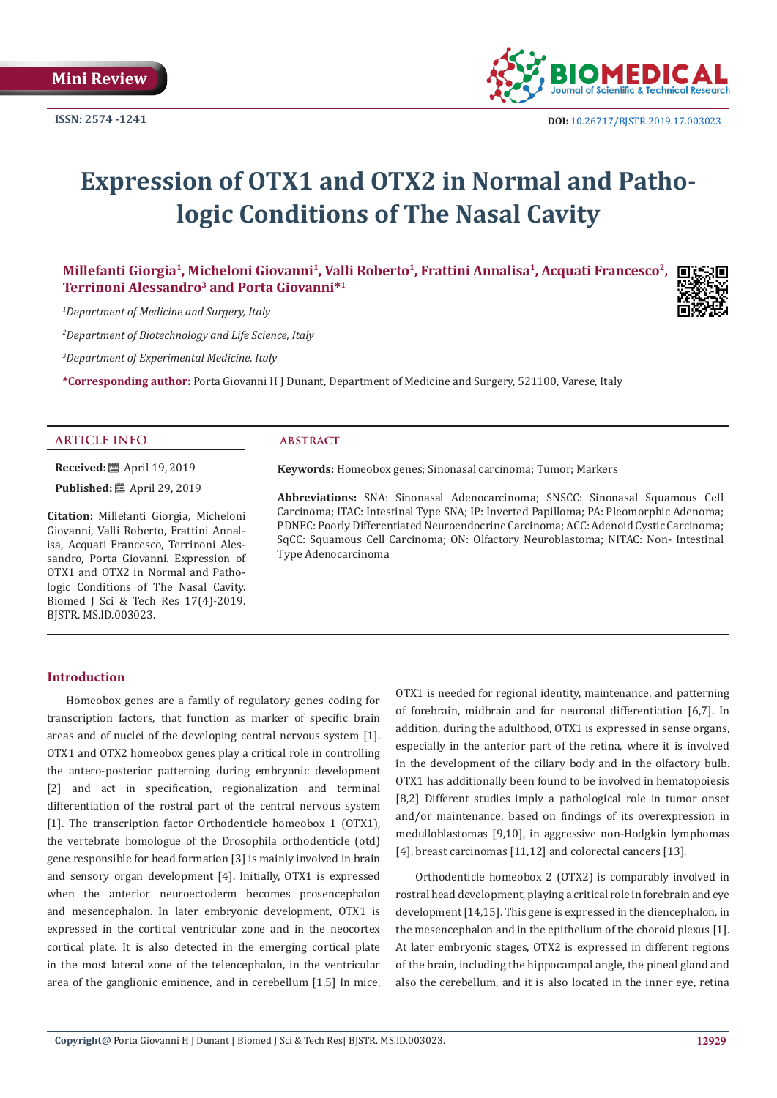

# **Expression of OTX1 and OTX2 in Normal and Pathologic Conditions of The Nasal Cavity**

**Millefanti Giorgia1, Micheloni Giovanni1, Valli Roberto1, Frattini Annalisa1, Acquati Francesco2, Terrinoni Alessandro3 and Porta Giovanni\*1**

*1 Department of Medicine and Surgery, Italy*

*2 Department of Biotechnology and Life Science, Italy*

*3 Department of Experimental Medicine, Italy*

**\*Corresponding author:** Porta Giovanni H J Dunant, Department of Medicine and Surgery, 521100, Varese, Italy

# **ARTICLE INFO abstract**

**Received:** ■ April 19, 2019

**Published:** ■ April 29, 2019

**Citation:** Millefanti Giorgia, Micheloni Giovanni, Valli Roberto, Frattini Annalisa, Acquati Francesco, Terrinoni Alessandro, Porta Giovanni. Expression of OTX1 and OTX2 in Normal and Pathologic Conditions of The Nasal Cavity. Biomed J Sci & Tech Res 17(4)-2019. BJSTR. MS.ID.003023.

**Keywords:** Homeobox genes; Sinonasal carcinoma; Tumor; Markers

**Abbreviations:** SNA: Sinonasal Adenocarcinoma; SNSCC: Sinonasal Squamous Cell Carcinoma; ITAC: Intestinal Type SNA; IP: Inverted Papilloma; PA: Pleomorphic Adenoma; PDNEC: Poorly Differentiated Neuroendocrine Carcinoma; ACC: Adenoid Cystic Carcinoma; SqCC: Squamous Cell Carcinoma; ON: Olfactory Neuroblastoma; NITAC: Non- Intestinal Type Adenocarcinoma

# **Introduction**

Homeobox genes are a family of regulatory genes coding for transcription factors, that function as marker of specific brain areas and of nuclei of the developing central nervous system [1]. OTX1 and OTX2 homeobox genes play a critical role in controlling the antero-posterior patterning during embryonic development [2] and act in specification, regionalization and terminal differentiation of the rostral part of the central nervous system [1]. The transcription factor Orthodenticle homeobox 1 (OTX1), the vertebrate homologue of the Drosophila orthodenticle (otd) gene responsible for head formation [3] is mainly involved in brain and sensory organ development [4]. Initially, OTX1 is expressed when the anterior neuroectoderm becomes prosencephalon and mesencephalon. In later embryonic development, OTX1 is expressed in the cortical ventricular zone and in the neocortex cortical plate. It is also detected in the emerging cortical plate in the most lateral zone of the telencephalon, in the ventricular area of the ganglionic eminence, and in cerebellum [1,5] In mice,

OTX1 is needed for regional identity, maintenance, and patterning of forebrain, midbrain and for neuronal differentiation [6,7]. In addition, during the adulthood, OTX1 is expressed in sense organs, especially in the anterior part of the retina, where it is involved in the development of the ciliary body and in the olfactory bulb. OTX1 has additionally been found to be involved in hematopoiesis [8,2] Different studies imply a pathological role in tumor onset and/or maintenance, based on findings of its overexpression in medulloblastomas [9,10], in aggressive non-Hodgkin lymphomas [4], breast carcinomas [11,12] and colorectal cancers [13].

Orthodenticle homeobox 2 (OTX2) is comparably involved in rostral head development, playing a critical role in forebrain and eye development [14,15]. This gene is expressed in the diencephalon, in the mesencephalon and in the epithelium of the choroid plexus [1]. At later embryonic stages, OTX2 is expressed in different regions of the brain, including the hippocampal angle, the pineal gland and also the cerebellum, and it is also located in the inner eye, retina

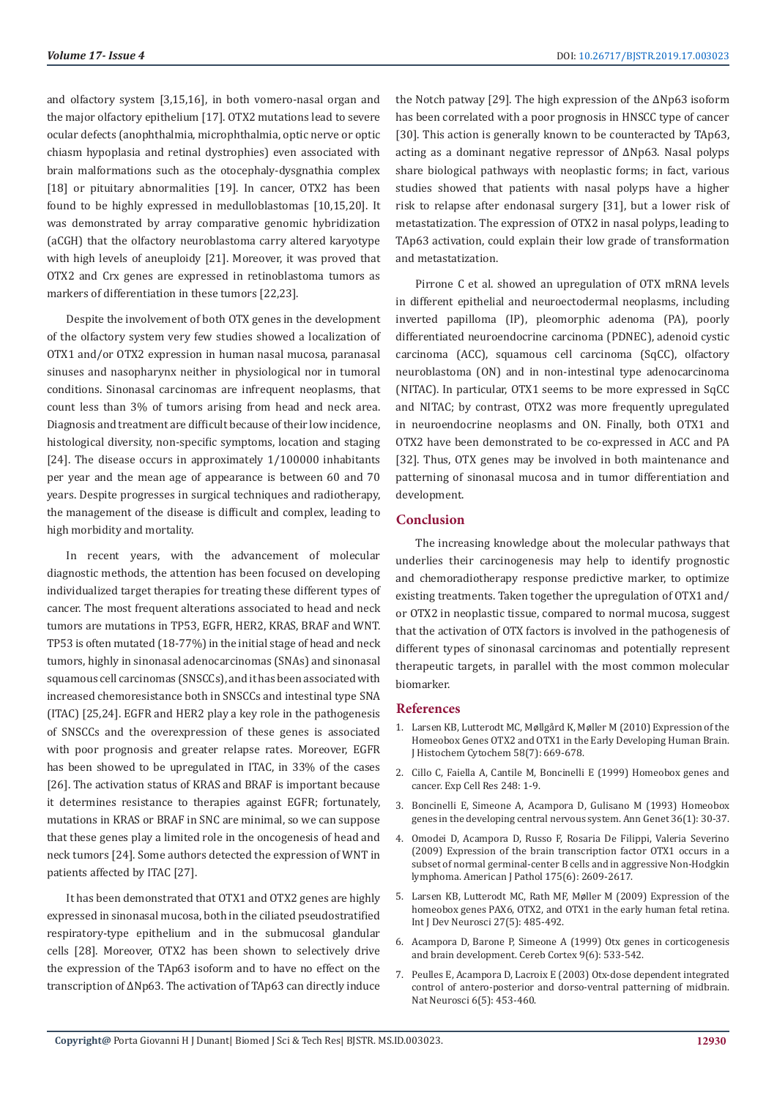and olfactory system [3,15,16], in both vomero-nasal organ and the major olfactory epithelium [17]. OTX2 mutations lead to severe ocular defects (anophthalmia, microphthalmia, optic nerve or optic chiasm hypoplasia and retinal dystrophies) even associated with brain malformations such as the otocephaly-dysgnathia complex [18] or pituitary abnormalities [19]. In cancer, OTX2 has been found to be highly expressed in medulloblastomas [10,15,20]. It was demonstrated by array comparative genomic hybridization (aCGH) that the olfactory neuroblastoma carry altered karyotype with high levels of aneuploidy [21]. Moreover, it was proved that OTX2 and Crx genes are expressed in retinoblastoma tumors as markers of differentiation in these tumors [22,23].

Despite the involvement of both OTX genes in the development of the olfactory system very few studies showed a localization of OTX1 and/or OTX2 expression in human nasal mucosa, paranasal sinuses and nasopharynx neither in physiological nor in tumoral conditions. Sinonasal carcinomas are infrequent neoplasms, that count less than 3% of tumors arising from head and neck area. Diagnosis and treatment are difficult because of their low incidence, histological diversity, non-specific symptoms, location and staging [24]. The disease occurs in approximately 1/100000 inhabitants per year and the mean age of appearance is between 60 and 70 years. Despite progresses in surgical techniques and radiotherapy, the management of the disease is difficult and complex, leading to high morbidity and mortality.

In recent years, with the advancement of molecular diagnostic methods, the attention has been focused on developing individualized target therapies for treating these different types of cancer. The most frequent alterations associated to head and neck tumors are mutations in TP53, EGFR, HER2, KRAS, BRAF and WNT. TP53 is often mutated (18-77%) in the initial stage of head and neck tumors, highly in sinonasal adenocarcinomas (SNAs) and sinonasal squamous cell carcinomas (SNSCCs), and it has been associated with increased chemoresistance both in SNSCCs and intestinal type SNA (ITAC) [25,24]. EGFR and HER2 play a key role in the pathogenesis of SNSCCs and the overexpression of these genes is associated with poor prognosis and greater relapse rates. Moreover, EGFR has been showed to be upregulated in ITAC, in 33% of the cases [26]. The activation status of KRAS and BRAF is important because it determines resistance to therapies against EGFR; fortunately, mutations in KRAS or BRAF in SNC are minimal, so we can suppose that these genes play a limited role in the oncogenesis of head and neck tumors [24]. Some authors detected the expression of WNT in patients affected by ITAC [27].

It has been demonstrated that OTX1 and OTX2 genes are highly expressed in sinonasal mucosa, both in the ciliated pseudostratified respiratory-type epithelium and in the submucosal glandular cells [28]. Moreover, OTX2 has been shown to selectively drive the expression of the TAp63 isoform and to have no effect on the transcription of ∆Np63. The activation of TAp63 can directly induce the Notch patway [29]. The high expression of the ∆Np63 isoform has been correlated with a poor prognosis in HNSCC type of cancer [30]. This action is generally known to be counteracted by TAp63, acting as a dominant negative repressor of ∆Np63. Nasal polyps share biological pathways with neoplastic forms; in fact, various studies showed that patients with nasal polyps have a higher risk to relapse after endonasal surgery [31], but a lower risk of metastatization. The expression of OTX2 in nasal polyps, leading to TAp63 activation, could explain their low grade of transformation and metastatization.

Pirrone C et al. showed an upregulation of OTX mRNA levels in different epithelial and neuroectodermal neoplasms, including inverted papilloma (IP), pleomorphic adenoma (PA), poorly differentiated neuroendocrine carcinoma (PDNEC), adenoid cystic carcinoma (ACC), squamous cell carcinoma (SqCC), olfactory neuroblastoma (ON) and in non-intestinal type adenocarcinoma (NITAC). In particular, OTX1 seems to be more expressed in SqCC and NITAC; by contrast, OTX2 was more frequently upregulated in neuroendocrine neoplasms and ON. Finally, both OTX1 and OTX2 have been demonstrated to be co-expressed in ACC and PA [32]. Thus, OTX genes may be involved in both maintenance and patterning of sinonasal mucosa and in tumor differentiation and development.

# **Conclusion**

The increasing knowledge about the molecular pathways that underlies their carcinogenesis may help to identify prognostic and chemoradiotherapy response predictive marker, to optimize existing treatments. Taken together the upregulation of OTX1 and/ or OTX2 in neoplastic tissue, compared to normal mucosa, suggest that the activation of OTX factors is involved in the pathogenesis of different types of sinonasal carcinomas and potentially represent therapeutic targets, in parallel with the most common molecular biomarker.

# **References**

- 1. Larsen KB, Lutterodt MC, Møllgård K, Mø[ller M \(2010\) Expression of the](https://www.ncbi.nlm.nih.gov/pubmed/20354145) [Homeobox Genes OTX2 and OTX1 in the Early Developing Human Brain.](https://www.ncbi.nlm.nih.gov/pubmed/20354145) [J Histochem Cytochem 58\(7\): 669-678.](https://www.ncbi.nlm.nih.gov/pubmed/20354145)
- 2. [Cillo C, Faiella A, Cantile M, Boncinelli E \(1999\) Homeobox genes and](https://www.ncbi.nlm.nih.gov/pubmed/10094807) [cancer. Exp Cell Res 248: 1-9.](https://www.ncbi.nlm.nih.gov/pubmed/10094807)
- 3. [Boncinelli E, Simeone A, Acampora D, Gulisano M \(1993\) Homeobox](https://www.ncbi.nlm.nih.gov/pubmed/8099265) [genes in the developing central nervous system. Ann Genet 36\(1\): 30-37.](https://www.ncbi.nlm.nih.gov/pubmed/8099265)
- 4. [Omodei D, Acampora D, Russo F, Rosaria De Filippi, Valeria Severino](https://www.ncbi.nlm.nih.gov/pmc/articles/PMC2789631/) [\(2009\) Expression of the brain transcription factor OTX1 occurs in a](https://www.ncbi.nlm.nih.gov/pmc/articles/PMC2789631/) [subset of normal germinal-center B cells and in aggressive Non-Hodgkin](https://www.ncbi.nlm.nih.gov/pmc/articles/PMC2789631/) [lymphoma. American J Pathol 175\(6\): 2609-2617.](https://www.ncbi.nlm.nih.gov/pmc/articles/PMC2789631/)
- 5. [Larsen KB, Lutterodt MC, Rath MF, M](https://www.ncbi.nlm.nih.gov/pubmed/19414065)øller M (2009) Expression of the [homeobox genes PAX6, OTX2, and OTX1 in the early human fetal retina.](https://www.ncbi.nlm.nih.gov/pubmed/19414065) [Int J Dev Neurosci 27\(5\): 485-492.](https://www.ncbi.nlm.nih.gov/pubmed/19414065)
- 6. [Acampora D, Barone P, Simeone A \(1999\) Otx genes in corticogenesis](https://www.ncbi.nlm.nih.gov/pubmed/10498271) [and brain development. Cereb Cortex 9\(6\): 533-542.](https://www.ncbi.nlm.nih.gov/pubmed/10498271)
- 7. [Peulles E, Acampora D, Lacroix E \(2003\) Otx-dose dependent integrated](https://www.ncbi.nlm.nih.gov/pubmed/12652306) [control of antero-posterior and dorso-ventral patterning of midbrain.](https://www.ncbi.nlm.nih.gov/pubmed/12652306) [Nat Neurosci 6\(5\): 453-460.](https://www.ncbi.nlm.nih.gov/pubmed/12652306)